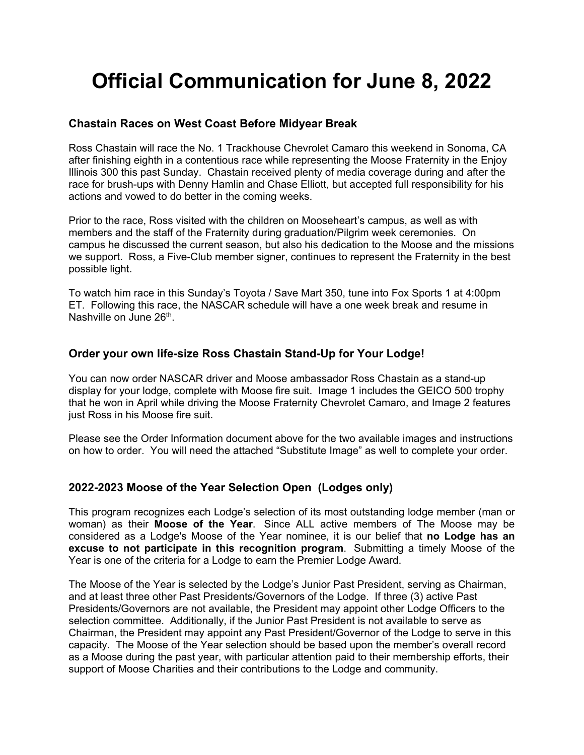# **Official Communication for June 8, 2022**

#### **Chastain Races on West Coast Before Midyear Break**

Ross Chastain will race the No. 1 Trackhouse Chevrolet Camaro this weekend in Sonoma, CA after finishing eighth in a contentious race while representing the Moose Fraternity in the Enjoy Illinois 300 this past Sunday. Chastain received plenty of media coverage during and after the race for brush-ups with Denny Hamlin and Chase Elliott, but accepted full responsibility for his actions and vowed to do better in the coming weeks.

Prior to the race, Ross visited with the children on Mooseheart's campus, as well as with members and the staff of the Fraternity during graduation/Pilgrim week ceremonies. On campus he discussed the current season, but also his dedication to the Moose and the missions we support. Ross, a Five-Club member signer, continues to represent the Fraternity in the best possible light.

To watch him race in this Sunday's Toyota / Save Mart 350, tune into Fox Sports 1 at 4:00pm ET. Following this race, the NASCAR schedule will have a one week break and resume in Nashville on June 26<sup>th</sup>.

## **Order your own life-size Ross Chastain Stand-Up for Your Lodge!**

You can now order NASCAR driver and Moose ambassador Ross Chastain as a stand-up display for your lodge, complete with Moose fire suit. Image 1 includes the GEICO 500 trophy that he won in April while driving the Moose Fraternity Chevrolet Camaro, and Image 2 features just Ross in his Moose fire suit.

Please see the Order Information document above for the two available images and instructions on how to order. You will need the attached "Substitute Image" as well to complete your order.

## **2022-2023 Moose of the Year Selection Open (Lodges only)**

This program recognizes each Lodge's selection of its most outstanding lodge member (man or woman) as their **Moose of the Year**. Since ALL active members of The Moose may be considered as a Lodge's Moose of the Year nominee, it is our belief that **no Lodge has an excuse to not participate in this recognition program**. Submitting a timely Moose of the Year is one of the criteria for a Lodge to earn the Premier Lodge Award.

The Moose of the Year is selected by the Lodge's Junior Past President, serving as Chairman, and at least three other Past Presidents/Governors of the Lodge. If three (3) active Past Presidents/Governors are not available, the President may appoint other Lodge Officers to the selection committee. Additionally, if the Junior Past President is not available to serve as Chairman, the President may appoint any Past President/Governor of the Lodge to serve in this capacity. The Moose of the Year selection should be based upon the member's overall record as a Moose during the past year, with particular attention paid to their membership efforts, their support of Moose Charities and their contributions to the Lodge and community.